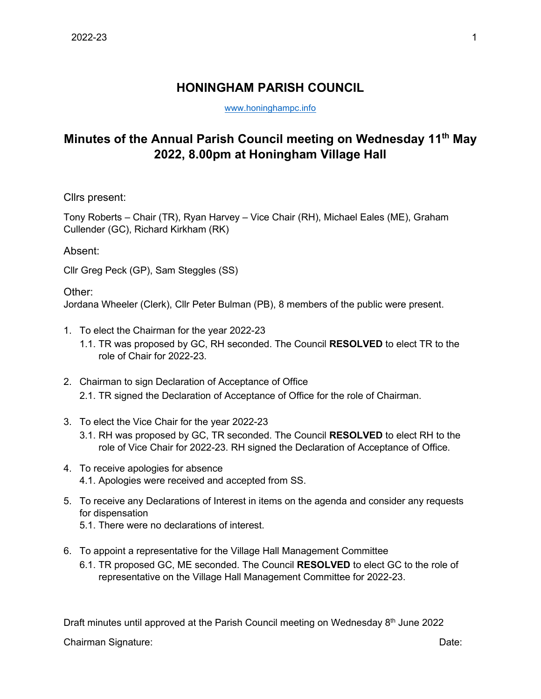## **HONINGHAM PARISH COUNCIL**

[www.honinghampc.info](http://www.honinghampc.info/)

## **Minutes of the Annual Parish Council meeting on Wednesday 11th May 2022, 8.00pm at Honingham Village Hall**

Cllrs present:

Tony Roberts – Chair (TR), Ryan Harvey – Vice Chair (RH), Michael Eales (ME), Graham Cullender (GC), Richard Kirkham (RK)

## Absent:

Cllr Greg Peck (GP), Sam Steggles (SS)

## Other:

Jordana Wheeler (Clerk), Cllr Peter Bulman (PB), 8 members of the public were present.

- 1. To elect the Chairman for the year 2022-23
	- 1.1. TR was proposed by GC, RH seconded. The Council **RESOLVED** to elect TR to the role of Chair for 2022-23.
- 2. Chairman to sign Declaration of Acceptance of Office 2.1. TR signed the Declaration of Acceptance of Office for the role of Chairman.
- 3. To elect the Vice Chair for the year 2022-23
	- 3.1. RH was proposed by GC, TR seconded. The Council **RESOLVED** to elect RH to the role of Vice Chair for 2022-23. RH signed the Declaration of Acceptance of Office.
- 4. To receive apologies for absence 4.1. Apologies were received and accepted from SS.
- 5. To receive any Declarations of Interest in items on the agenda and consider any requests for dispensation
	- 5.1. There were no declarations of interest.
- 6. To appoint a representative for the Village Hall Management Committee
	- 6.1. TR proposed GC, ME seconded. The Council **RESOLVED** to elect GC to the role of representative on the Village Hall Management Committee for 2022-23.

Draft minutes until approved at the Parish Council meeting on Wednesday 8<sup>th</sup> June 2022

Chairman Signature: Date: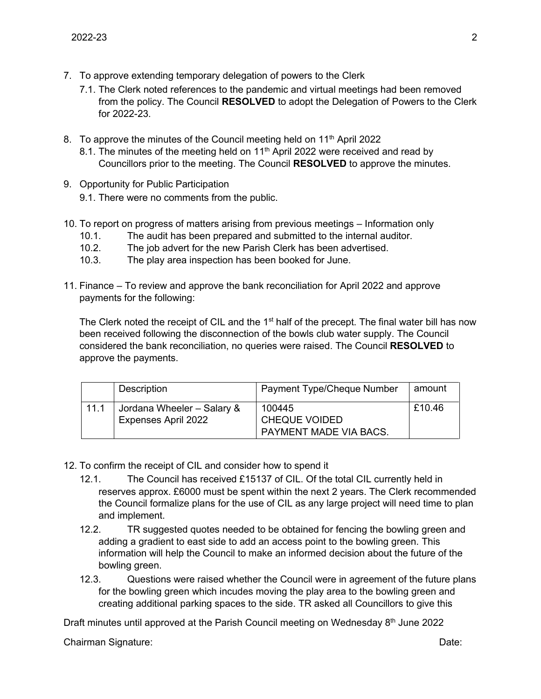- 7. To approve extending temporary delegation of powers to the Clerk
	- 7.1. The Clerk noted references to the pandemic and virtual meetings had been removed from the policy. The Council **RESOLVED** to adopt the Delegation of Powers to the Clerk for 2022-23.
- 8. To approve the minutes of the Council meeting held on  $11<sup>th</sup>$  April 2022
	- 8.1. The minutes of the meeting held on 11<sup>th</sup> April 2022 were received and read bv Councillors prior to the meeting. The Council **RESOLVED** to approve the minutes.
- 9. Opportunity for Public Participation
	- 9.1. There were no comments from the public.
- 10. To report on progress of matters arising from previous meetings Information only
	- 10.1. The audit has been prepared and submitted to the internal auditor.
	- 10.2. The job advert for the new Parish Clerk has been advertised.
	- 10.3. The play area inspection has been booked for June.
- 11. Finance To review and approve the bank reconciliation for April 2022 and approve payments for the following:

The Clerk noted the receipt of CIL and the  $1<sup>st</sup>$  half of the precept. The final water bill has now been received following the disconnection of the bowls club water supply. The Council considered the bank reconciliation, no queries were raised. The Council **RESOLVED** to approve the payments.

|      | Description                | <b>Payment Type/Cheque Number</b> | amount |
|------|----------------------------|-----------------------------------|--------|
| 11.1 | Jordana Wheeler - Salary & | 100445                            | £10.46 |
|      | <b>Expenses April 2022</b> | <b>CHEQUE VOIDED</b>              |        |
|      |                            | PAYMENT MADE VIA BACS.            |        |

- 12. To confirm the receipt of CIL and consider how to spend it
	- 12.1. The Council has received £15137 of CIL. Of the total CIL currently held in reserves approx. £6000 must be spent within the next 2 years. The Clerk recommended the Council formalize plans for the use of CIL as any large project will need time to plan and implement.
	- 12.2. TR suggested quotes needed to be obtained for fencing the bowling green and adding a gradient to east side to add an access point to the bowling green. This information will help the Council to make an informed decision about the future of the bowling green.
	- 12.3. Questions were raised whether the Council were in agreement of the future plans for the bowling green which incudes moving the play area to the bowling green and creating additional parking spaces to the side. TR asked all Councillors to give this

Draft minutes until approved at the Parish Council meeting on Wednesday 8<sup>th</sup> June 2022

Chairman Signature: Date: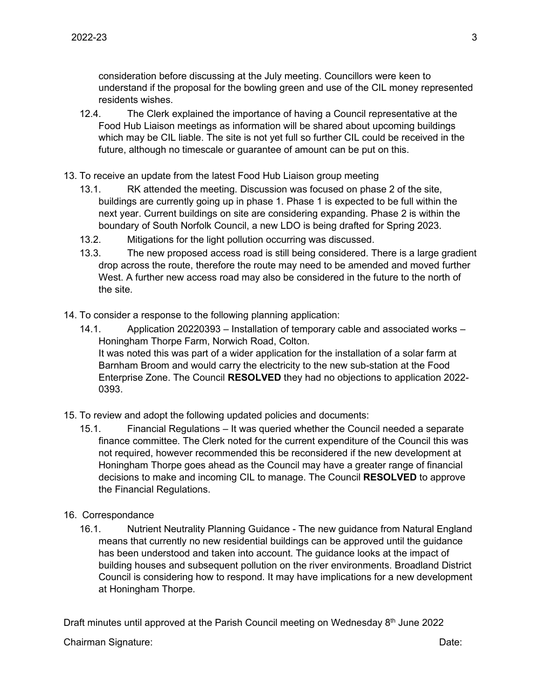consideration before discussing at the July meeting. Councillors were keen to understand if the proposal for the bowling green and use of the CIL money represented residents wishes.

- 12.4. The Clerk explained the importance of having a Council representative at the Food Hub Liaison meetings as information will be shared about upcoming buildings which may be CIL liable. The site is not yet full so further CIL could be received in the future, although no timescale or guarantee of amount can be put on this.
- 13. To receive an update from the latest Food Hub Liaison group meeting
	- 13.1. RK attended the meeting. Discussion was focused on phase 2 of the site, buildings are currently going up in phase 1. Phase 1 is expected to be full within the next year. Current buildings on site are considering expanding. Phase 2 is within the boundary of South Norfolk Council, a new LDO is being drafted for Spring 2023.
	- 13.2. Mitigations for the light pollution occurring was discussed.
	- 13.3. The new proposed access road is still being considered. There is a large gradient drop across the route, therefore the route may need to be amended and moved further West. A further new access road may also be considered in the future to the north of the site.
- 14. To consider a response to the following planning application:
	- 14.1. Application 20220393 Installation of temporary cable and associated works Honingham Thorpe Farm, Norwich Road, Colton. It was noted this was part of a wider application for the installation of a solar farm at Barnham Broom and would carry the electricity to the new sub-station at the Food Enterprise Zone. The Council **RESOLVED** they had no objections to application 2022- 0393.
- 15. To review and adopt the following updated policies and documents:
	- 15.1. Financial Regulations It was queried whether the Council needed a separate finance committee. The Clerk noted for the current expenditure of the Council this was not required, however recommended this be reconsidered if the new development at Honingham Thorpe goes ahead as the Council may have a greater range of financial decisions to make and incoming CIL to manage. The Council **RESOLVED** to approve the Financial Regulations.
- 16. Correspondance
	- 16.1. Nutrient Neutrality Planning Guidance The new guidance from Natural England means that currently no new residential buildings can be approved until the guidance has been understood and taken into account. The guidance looks at the impact of building houses and subsequent pollution on the river environments. Broadland District Council is considering how to respond. It may have implications for a new development at Honingham Thorpe.

Draft minutes until approved at the Parish Council meeting on Wednesday 8<sup>th</sup> June 2022

Chairman Signature: Date: